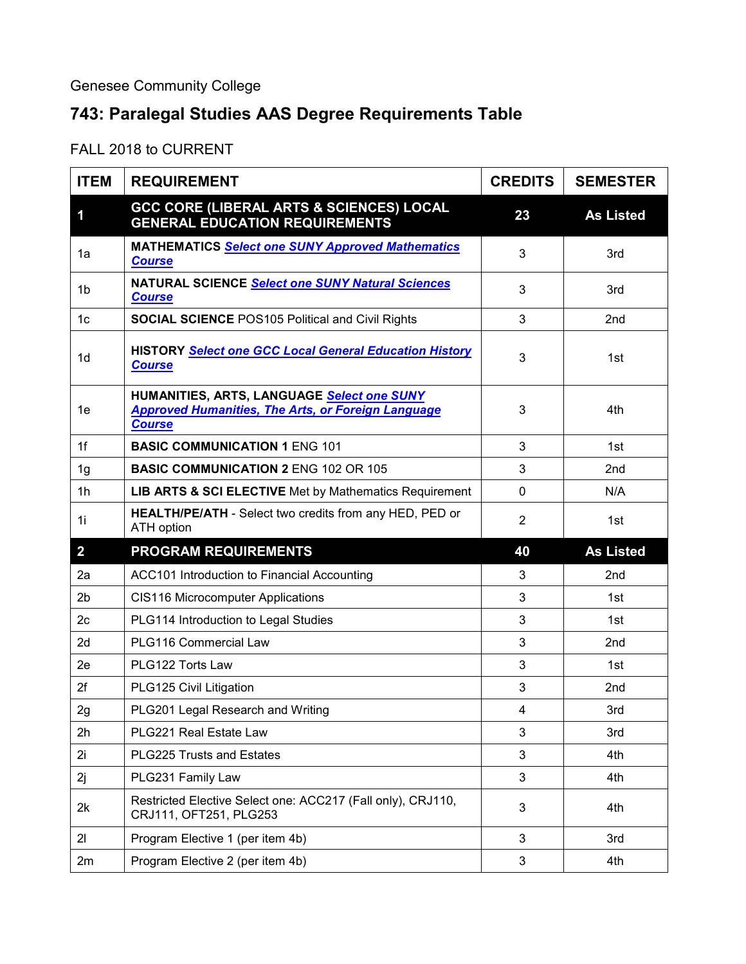Genesee Community College

## **743: Paralegal Studies AAS Degree Requirements Table**

FALL 2018 to CURRENT

| <b>ITEM</b>    | <b>REQUIREMENT</b>                                                                                                       | <b>CREDITS</b> | <b>SEMESTER</b>  |
|----------------|--------------------------------------------------------------------------------------------------------------------------|----------------|------------------|
| 1              | <b>GCC CORE (LIBERAL ARTS &amp; SCIENCES) LOCAL</b><br><b>GENERAL EDUCATION REQUIREMENTS</b>                             | 23             | <b>As Listed</b> |
| 1a             | <b>MATHEMATICS Select one SUNY Approved Mathematics</b><br><b>Course</b>                                                 | 3              | 3rd              |
| 1b             | NATURAL SCIENCE Select one SUNY Natural Sciences<br><b>Course</b>                                                        | 3              | 3rd              |
| 1 <sub>c</sub> | <b>SOCIAL SCIENCE POS105 Political and Civil Rights</b>                                                                  | 3              | 2nd              |
| 1 <sub>d</sub> | <b>HISTORY Select one GCC Local General Education History</b><br><b>Course</b>                                           | 3              | 1st              |
| 1e             | HUMANITIES, ARTS, LANGUAGE Select one SUNY<br><b>Approved Humanities, The Arts, or Foreign Language</b><br><b>Course</b> | 3              | 4th              |
| 1f             | <b>BASIC COMMUNICATION 1 ENG 101</b>                                                                                     | 3              | 1st              |
| 1 <sub>g</sub> | <b>BASIC COMMUNICATION 2 ENG 102 OR 105</b>                                                                              | 3              | 2nd              |
| 1 <sub>h</sub> | <b>LIB ARTS &amp; SCI ELECTIVE</b> Met by Mathematics Requirement                                                        | $\mathbf 0$    | N/A              |
| 1i             | HEALTH/PE/ATH - Select two credits from any HED, PED or<br><b>ATH option</b>                                             | $\overline{2}$ | 1st              |
| $\overline{2}$ | <b>PROGRAM REQUIREMENTS</b>                                                                                              | 40             | <b>As Listed</b> |
| 2a             | ACC101 Introduction to Financial Accounting                                                                              | 3              | 2 <sub>nd</sub>  |
| 2 <sub>b</sub> | CIS116 Microcomputer Applications                                                                                        | 3              | 1st              |
| 2c             | PLG114 Introduction to Legal Studies                                                                                     | 3              | 1st              |
| 2d             | PLG116 Commercial Law                                                                                                    | 3              | 2nd              |
| 2e             | PLG122 Torts Law                                                                                                         | 3              | 1st              |
| 2f             | PLG125 Civil Litigation                                                                                                  | 3              | 2nd              |
| 2g             | PLG201 Legal Research and Writing                                                                                        | 4              | 3rd              |
| 2h             | PLG221 Real Estate Law                                                                                                   | 3              | 3rd              |
| 2i             | PLG225 Trusts and Estates                                                                                                | 3              | 4th              |
| 2j             | PLG231 Family Law                                                                                                        | 3              | 4th              |
| 2k             | Restricted Elective Select one: ACC217 (Fall only), CRJ110,<br>CRJ111, OFT251, PLG253                                    | 3              | 4th              |
| 21             | Program Elective 1 (per item 4b)                                                                                         | 3              | 3rd              |
| 2m             | Program Elective 2 (per item 4b)                                                                                         | 3              | 4th              |